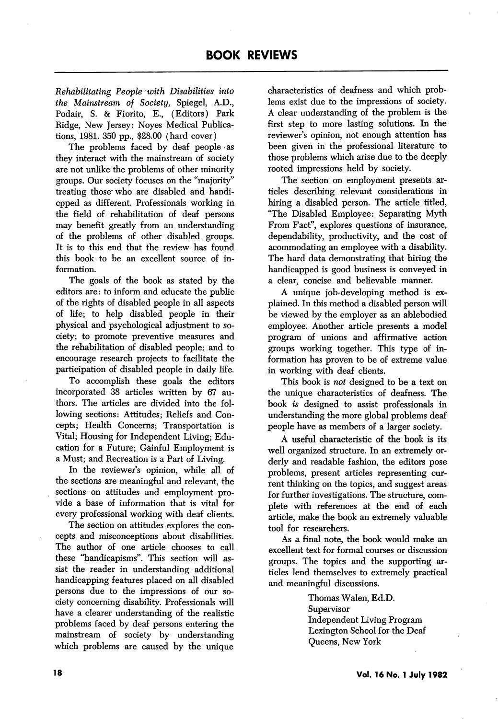Rehabilitating People with Disabilities into the Mainstream of Society, Spiegel, A.D., Podair, S. & Fiorito, E., (Editors) Park Ridge, New Jersey: Noyes Medical Publica tions, 1981. 350 pp., \$28.00 (hard cover)

The problems faced by deaf people as they interact with the mainstream of society are not unlike the problems of other minority groups. Our society focuses on the "majority'' treating those who are disabled and handicpped as different. Professionals working in the field of rehabilitation of deaf persons may benefit greatly from an understanding of the problems of other disabled groups. It is to this end that the review has found this book to be an excellent source of in formation.

The goals of the book as stated by the editors are: to inform and educate the public of the rights of disabled people in all aspects of life; to help disabled people in their physical and psychological adjustment to so ciety; to promote preventive measures and the rehabilitation of disabled people; and to encourage research projects to facilitate the participation of disabled people in daily life.

To accomplish these goals the editors incorporated 38 articles written by 67 au thors. The articles are divided into the fol lowing sections: Attitudes; Reliefs and Con cepts; Health Concerns; Transportation is Vital; Housing for Independent Living; Edu cation for a Future; Gainful Employment is a Must; and Recreation is a Part of Living.

In the reviewer's opinion, while all of the sections are meaningful and relevant, the sections on attitudes and employment pro vide a base of information that is vital for every professional working with deaf clients.

The section on attitudes explores the con cepts and misconceptions about disabilities. The author of one article chooses to call these "handicapisms". This section will as sist the reader in understanding additional handicapping features placed on all disabled persons due to the impressions of our so ciety concerning disability. Professionals will have a clearer understanding of the realistic problems faced by deaf persons entering the mainstream of society by understanding which problems are caused by the unique

characteristics of deafness and which prob lems exist due to the impressions of society. A clear understanding of the problem is the first step to more lasting solutions. In the reviewer's opinion, not enough attention has been given in the professional literature to those problems which arise due to the deeply rooted impressions held by society.

The section on employment presents ar ticles describing relevant considerations in hiring a disabled person. The article titled, "The Disabled Employee: Separating Myth From Fact", explores questions of insurance, dependability, productivity, and the cost of acommodating an employee with a disability. The hard data demonstrating that hiring the handicapped is good business is conveyed in a clear, concise and believable manner.

A unique job-developing method is ex plained. In this method a disabled person will be viewed by the employer as an ablebodied employee. Another article presents a model program of unions and affirmative action groups working together. This type of in formation has proven to be of extreme value in working with deaf clients.

This book is not designed to be a text on the unique characteristics of deafness. The book is designed to assist professionals in understanding the more global problems deaf people have as members of a larger society.

A useful characteristic of the book is its well organized structure. In an extremely or derly and readable fashion, the editors pose problems, present articles representing cur rent thinking on the topics, and suggest areas for further investigations. The structure, com plete with references at the end of each article, make the book an extremely valuable tool for researchers.

As a final note, the book would make an excellent text for formal courses or discussion groups. The topics and the supporting ar ticles lend themselves to extremely practical and meaningful discussions.

> Thomas Walen, Ed.D. Supervisor Independent Living Program Lexington School for the Deaf Queens, New York